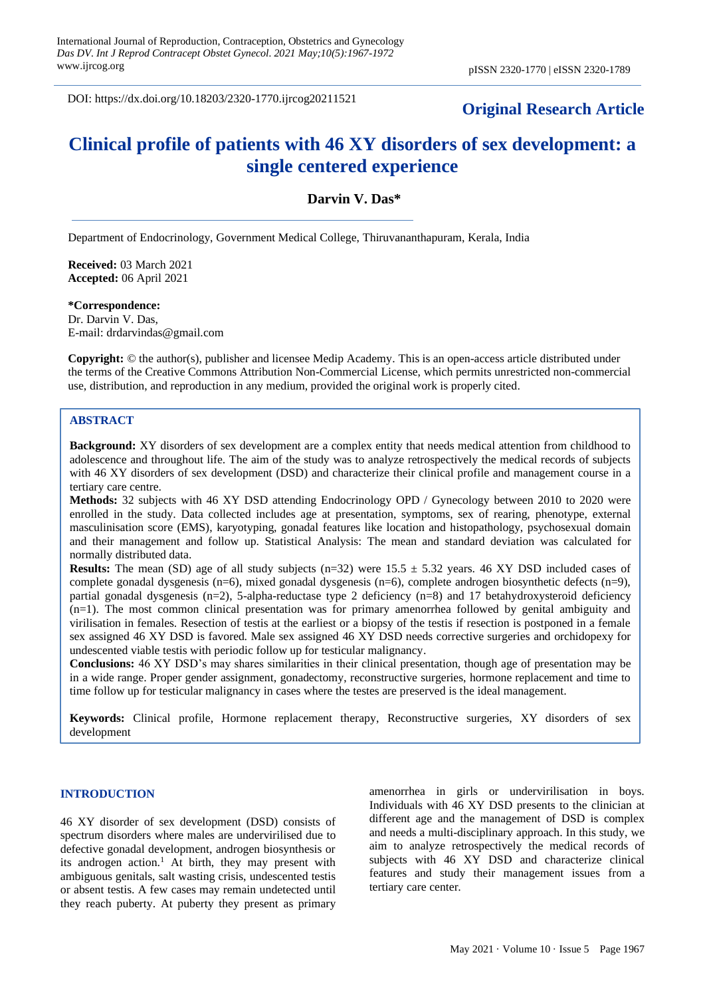DOI: https://dx.doi.org/10.18203/2320-1770.ijrcog20211521

# **Original Research Article**

# **Clinical profile of patients with 46 XY disorders of sex development: a single centered experience**

#### **Darvin V. Das\***

Department of Endocrinology, Government Medical College, Thiruvananthapuram, Kerala, India

**Received:** 03 March 2021 **Accepted:** 06 April 2021

**\*Correspondence:** Dr. Darvin V. Das,

E-mail: drdarvindas@gmail.com

**Copyright:** © the author(s), publisher and licensee Medip Academy. This is an open-access article distributed under the terms of the Creative Commons Attribution Non-Commercial License, which permits unrestricted non-commercial use, distribution, and reproduction in any medium, provided the original work is properly cited.

#### **ABSTRACT**

**Background:** XY disorders of sex development are a complex entity that needs medical attention from childhood to adolescence and throughout life. The aim of the study was to analyze retrospectively the medical records of subjects with 46 XY disorders of sex development (DSD) and characterize their clinical profile and management course in a tertiary care centre.

**Methods:** 32 subjects with 46 XY DSD attending Endocrinology OPD / Gynecology between 2010 to 2020 were enrolled in the study. Data collected includes age at presentation, symptoms, sex of rearing, phenotype, external masculinisation score (EMS), karyotyping, gonadal features like location and histopathology, psychosexual domain and their management and follow up. Statistical Analysis: The mean and standard deviation was calculated for normally distributed data.

**Results:** The mean (SD) age of all study subjects ( $n=32$ ) were  $15.5 \pm 5.32$  years. 46 XY DSD included cases of complete gonadal dysgenesis (n=6), mixed gonadal dysgenesis (n=6), complete androgen biosynthetic defects (n=9), partial gonadal dysgenesis (n=2), 5-alpha-reductase type 2 deficiency (n=8) and 17 betahydroxysteroid deficiency (n=1). The most common clinical presentation was for primary amenorrhea followed by genital ambiguity and virilisation in females. Resection of testis at the earliest or a biopsy of the testis if resection is postponed in a female sex assigned 46 XY DSD is favored. Male sex assigned 46 XY DSD needs corrective surgeries and orchidopexy for undescented viable testis with periodic follow up for testicular malignancy.

**Conclusions:** 46 XY DSD's may shares similarities in their clinical presentation, though age of presentation may be in a wide range. Proper gender assignment, gonadectomy, reconstructive surgeries, hormone replacement and time to time follow up for testicular malignancy in cases where the testes are preserved is the ideal management.

**Keywords:** Clinical profile, Hormone replacement therapy, Reconstructive surgeries, XY disorders of sex development

#### **INTRODUCTION**

46 XY disorder of sex development (DSD) consists of spectrum disorders where males are undervirilised due to defective gonadal development, androgen biosynthesis or its androgen action.<sup>1</sup> At birth, they may present with ambiguous genitals, salt wasting crisis, undescented testis or absent testis. A few cases may remain undetected until they reach puberty. At puberty they present as primary amenorrhea in girls or undervirilisation in boys. Individuals with 46 XY DSD presents to the clinician at different age and the management of DSD is complex and needs a multi-disciplinary approach. In this study, we aim to analyze retrospectively the medical records of subjects with 46 XY DSD and characterize clinical features and study their management issues from a tertiary care center.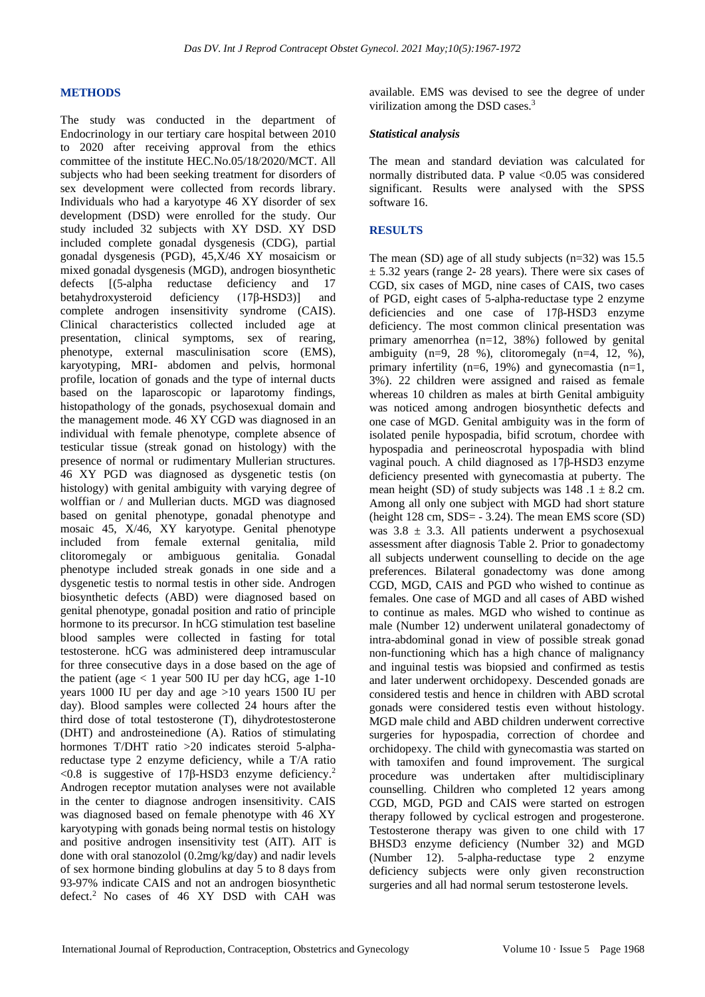#### **METHODS**

The study was conducted in the department of Endocrinology in our tertiary care hospital between 2010 to 2020 after receiving approval from the ethics committee of the institute HEC.No.05/18/2020/MCT. All subjects who had been seeking treatment for disorders of sex development were collected from records library. Individuals who had a karyotype 46 XY disorder of sex development (DSD) were enrolled for the study. Our study included 32 subjects with XY DSD. XY DSD included complete gonadal dysgenesis (CDG), partial gonadal dysgenesis (PGD), 45,X/46 XY mosaicism or mixed gonadal dysgenesis (MGD), androgen biosynthetic defects [(5-alpha reductase deficiency and 17<br>betahydroxysteroid deficiency (17β-HSD3)] and betahydroxysteroid deficiency (17β-HSD3)] and complete androgen insensitivity syndrome (CAIS). Clinical characteristics collected included age at presentation, clinical symptoms, sex of rearing, phenotype, external masculinisation score (EMS), karyotyping, MRI- abdomen and pelvis, hormonal profile, location of gonads and the type of internal ducts based on the laparoscopic or laparotomy findings, histopathology of the gonads, psychosexual domain and the management mode. 46 XY CGD was diagnosed in an individual with female phenotype, complete absence of testicular tissue (streak gonad on histology) with the presence of normal or rudimentary Mullerian structures. 46 XY PGD was diagnosed as dysgenetic testis (on histology) with genital ambiguity with varying degree of wolffian or / and Mullerian ducts. MGD was diagnosed based on genital phenotype, gonadal phenotype and mosaic 45, X/46, XY karyotype. Genital phenotype included from female external genitalia, mild clitoromegaly or ambiguous genitalia. Gonadal phenotype included streak gonads in one side and a dysgenetic testis to normal testis in other side. Androgen biosynthetic defects (ABD) were diagnosed based on genital phenotype, gonadal position and ratio of principle hormone to its precursor. In hCG stimulation test baseline blood samples were collected in fasting for total testosterone. hCG was administered deep intramuscular for three consecutive days in a dose based on the age of the patient (age  $< 1$  year 500 IU per day hCG, age 1-10 years 1000 IU per day and age >10 years 1500 IU per day). Blood samples were collected 24 hours after the third dose of total testosterone (T), dihydrotestosterone (DHT) and androsteinedione (A). Ratios of stimulating hormones T/DHT ratio >20 indicates steroid 5-alphareductase type 2 enzyme deficiency, while a T/A ratio  $<$ 0.8 is suggestive of 17β-HSD3 enzyme deficiency.<sup>2</sup> Androgen receptor mutation analyses were not available in the center to diagnose androgen insensitivity. CAIS was diagnosed based on female phenotype with 46 XY karyotyping with gonads being normal testis on histology and positive androgen insensitivity test (AIT). AIT is done with oral stanozolol (0.2mg/kg/day) and nadir levels of sex hormone binding globulins at day 5 to 8 days from 93-97% indicate CAIS and not an androgen biosynthetic defect.<sup>2</sup> No cases of 46 XY DSD with CAH was available. EMS was devised to see the degree of under virilization among the DSD cases.<sup>3</sup>

#### *Statistical analysis*

The mean and standard deviation was calculated for normally distributed data. P value <0.05 was considered significant. Results were analysed with the SPSS software 16.

#### **RESULTS**

The mean (SD) age of all study subjects (n=32) was 15.5  $\pm$  5.32 years (range 2- 28 years). There were six cases of CGD, six cases of MGD, nine cases of CAIS, two cases of PGD, eight cases of 5-alpha-reductase type 2 enzyme deficiencies and one case of 17β-HSD3 enzyme deficiency. The most common clinical presentation was primary amenorrhea (n=12, 38%) followed by genital ambiguity  $(n=9, 28 \%)$ , clitoromegaly  $(n=4, 12, %)$ , primary infertility (n=6, 19%) and gynecomastia (n=1, 3%). 22 children were assigned and raised as female whereas 10 children as males at birth Genital ambiguity was noticed among androgen biosynthetic defects and one case of MGD. Genital ambiguity was in the form of isolated penile hypospadia, bifid scrotum, chordee with hypospadia and perineoscrotal hypospadia with blind vaginal pouch. A child diagnosed as 17β-HSD3 enzyme deficiency presented with gynecomastia at puberty. The mean height (SD) of study subjects was  $148.1 \pm 8.2$  cm. Among all only one subject with MGD had short stature (height  $128$  cm,  $SDS = -3.24$ ). The mean EMS score  $(SD)$ was  $3.8 \pm 3.3$ . All patients underwent a psychosexual assessment after diagnosis Table 2. Prior to gonadectomy all subjects underwent counselling to decide on the age preferences. Bilateral gonadectomy was done among CGD, MGD, CAIS and PGD who wished to continue as females. One case of MGD and all cases of ABD wished to continue as males. MGD who wished to continue as male (Number 12) underwent unilateral gonadectomy of intra-abdominal gonad in view of possible streak gonad non-functioning which has a high chance of malignancy and inguinal testis was biopsied and confirmed as testis and later underwent orchidopexy. Descended gonads are considered testis and hence in children with ABD scrotal gonads were considered testis even without histology. MGD male child and ABD children underwent corrective surgeries for hypospadia, correction of chordee and orchidopexy. The child with gynecomastia was started on with tamoxifen and found improvement. The surgical procedure was undertaken after multidisciplinary counselling. Children who completed 12 years among CGD, MGD, PGD and CAIS were started on estrogen therapy followed by cyclical estrogen and progesterone. Testosterone therapy was given to one child with 17 BHSD3 enzyme deficiency (Number 32) and MGD (Number 12). 5-alpha-reductase type 2 enzyme deficiency subjects were only given reconstruction surgeries and all had normal serum testosterone levels.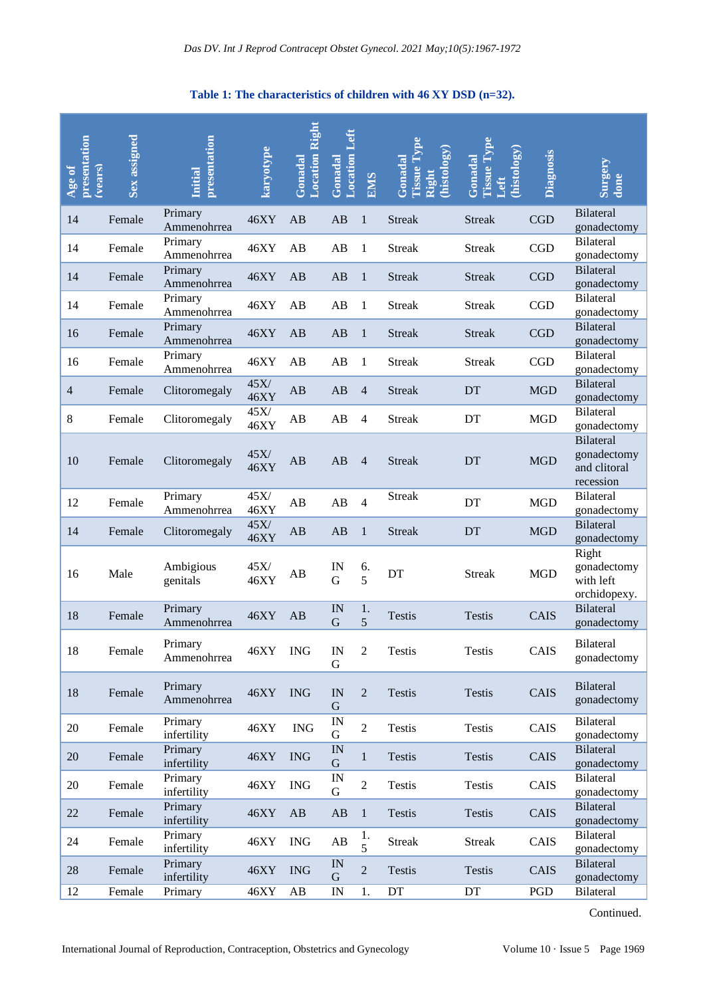### **Table 1: The characteristics of children with 46 XY DSD (n=32).**

| presentation<br>Age of<br>(vears) | Sex assigned | presentation<br><b>Initial</b> | karyotype           | <b>Location Right</b><br>Gonadal | <b>Location Left</b><br>Gonadal | <b>SINE</b>    | l'issue Type<br>histology)<br>Gonadal<br>Right | <b>Tissue Type</b><br>histology)<br>Gonadal<br>Left | Diagnosis  | Surgery<br>done                                              |
|-----------------------------------|--------------|--------------------------------|---------------------|----------------------------------|---------------------------------|----------------|------------------------------------------------|-----------------------------------------------------|------------|--------------------------------------------------------------|
| 14                                | Female       | Primary<br>Ammenohrrea         | 46XY                | AB                               | AB                              | $\mathbf{1}$   | <b>Streak</b>                                  | <b>Streak</b>                                       | <b>CGD</b> | <b>Bilateral</b><br>gonadectomy                              |
| 14                                | Female       | Primary<br>Ammenohrrea         | 46XY                | AB                               | AB                              | 1              | <b>Streak</b>                                  | <b>Streak</b>                                       | CGD        | <b>Bilateral</b><br>gonadectomy                              |
| 14                                | Female       | Primary<br>Ammenohrrea         | 46XY                | AB                               | AB                              | $\mathbf{1}$   | <b>Streak</b>                                  | <b>Streak</b>                                       | CGD        | <b>Bilateral</b><br>gonadectomy                              |
| 14                                | Female       | Primary<br>Ammenohrrea         | 46XY                | AB                               | AB                              | 1              | <b>Streak</b>                                  | <b>Streak</b>                                       | CGD        | <b>Bilateral</b><br>gonadectomy                              |
| 16                                | Female       | Primary<br>Ammenohrrea         | 46XY                | AB                               | AB                              | $\mathbf{1}$   | <b>Streak</b>                                  | <b>Streak</b>                                       | CGD        | <b>Bilateral</b><br>gonadectomy                              |
| 16                                | Female       | Primary<br>Ammenohrrea         | 46XY                | AB                               | AB                              | 1              | <b>Streak</b>                                  | <b>Streak</b>                                       | CGD        | <b>Bilateral</b><br>gonadectomy                              |
| $\overline{4}$                    | Female       | Clitoromegaly                  | 45X/<br><b>46XY</b> | AB                               | AB                              | $\overline{4}$ | <b>Streak</b>                                  | DT                                                  | <b>MGD</b> | <b>Bilateral</b><br>gonadectomy                              |
| 8                                 | Female       | Clitoromegaly                  | $45X/$<br>46XY      | AB                               | AB                              | 4              | <b>Streak</b>                                  | DT                                                  | <b>MGD</b> | <b>Bilateral</b><br>gonadectomy                              |
| 10                                | Female       | Clitoromegaly                  | 45X/<br><b>46XY</b> | AB                               | AB                              | $\overline{4}$ | <b>Streak</b>                                  | DT                                                  | <b>MGD</b> | <b>Bilateral</b><br>gonadectomy<br>and clitoral<br>recession |
| 12                                | Female       | Primary<br>Ammenohrrea         | 45X/<br>46XY        | AB                               | AB                              | $\overline{4}$ | <b>Streak</b>                                  | DT                                                  | <b>MGD</b> | <b>Bilateral</b><br>gonadectomy                              |
| 14                                | Female       | Clitoromegaly                  | 45X/<br><b>46XY</b> | AB                               | AB                              | $\mathbf{1}$   | <b>Streak</b>                                  | DT                                                  | <b>MGD</b> | <b>Bilateral</b><br>gonadectomy                              |
| 16                                | Male         | Ambigious<br>genitals          | 45X/<br>46XY        | AB                               | IN<br>G                         | 6.<br>5        | DT                                             | <b>Streak</b>                                       | <b>MGD</b> | Right<br>gonadectomy<br>with left<br>orchidopexy.            |
| 18                                | Female       | Primary<br>Ammenohrrea         | 46XY                | AB                               | IN<br>G                         | 1.<br>5        | <b>Testis</b>                                  | <b>Testis</b>                                       | CAIS       | <b>Bilateral</b><br>gonadectomy                              |
| 18                                | Female       | Primary<br>Ammenohrrea         | 46XY                | <b>ING</b>                       | $\ensuremath{\text{IN}}$<br>G   | $\overline{2}$ | Testis                                         | Testis                                              | CAIS       | Bilateral<br>gonadectomy                                     |
| 18                                | Female       | Primary<br>Ammenohrrea         | 46XY                | <b>ING</b>                       | IN<br>G                         | $\overline{2}$ | <b>Testis</b>                                  | <b>Testis</b>                                       | CAIS       | <b>Bilateral</b><br>gonadectomy                              |
| 20                                | Female       | Primary<br>infertility         | 46XY                | $\rm{ING}$                       | IN<br>G                         | $\overline{2}$ | <b>Testis</b>                                  | Testis                                              | CAIS       | <b>Bilateral</b><br>gonadectomy                              |
| 20                                | Female       | Primary<br>infertility         | 46XY                | <b>ING</b>                       | IN<br>G                         | $\mathbf{1}$   | <b>Testis</b>                                  | Testis                                              | CAIS       | <b>Bilateral</b><br>gonadectomy                              |
| 20                                | Female       | Primary<br>infertility         | 46XY                | <b>ING</b>                       | IN<br>G                         | $\overline{2}$ | Testis                                         | Testis                                              | CAIS       | <b>Bilateral</b><br>gonadectomy                              |
| 22                                | Female       | Primary<br>infertility         | 46XY                | AB                               | $\mathbf{A}\mathbf{B}$          | $\mathbf{1}$   | <b>Testis</b>                                  | Testis                                              | CAIS       | <b>Bilateral</b><br>gonadectomy                              |
| 24                                | Female       | Primary<br>infertility         | 46XY                | <b>ING</b>                       | AB                              | 1.<br>5        | <b>Streak</b>                                  | <b>Streak</b>                                       | CAIS       | <b>Bilateral</b><br>gonadectomy                              |
| $28\,$                            | Female       | Primary<br>infertility         | 46XY                | <b>ING</b>                       | IN<br>G                         | $\overline{2}$ | Testis                                         | Testis                                              | CAIS       | <b>Bilateral</b><br>gonadectomy                              |
| 12                                | Female       | Primary                        | 46XY                | AB                               | $\ensuremath{\text{IN}}\xspace$ | 1.             | $\mathop{\rm DT}\nolimits$                     | DT                                                  | PGD        | Bilateral                                                    |

Continued.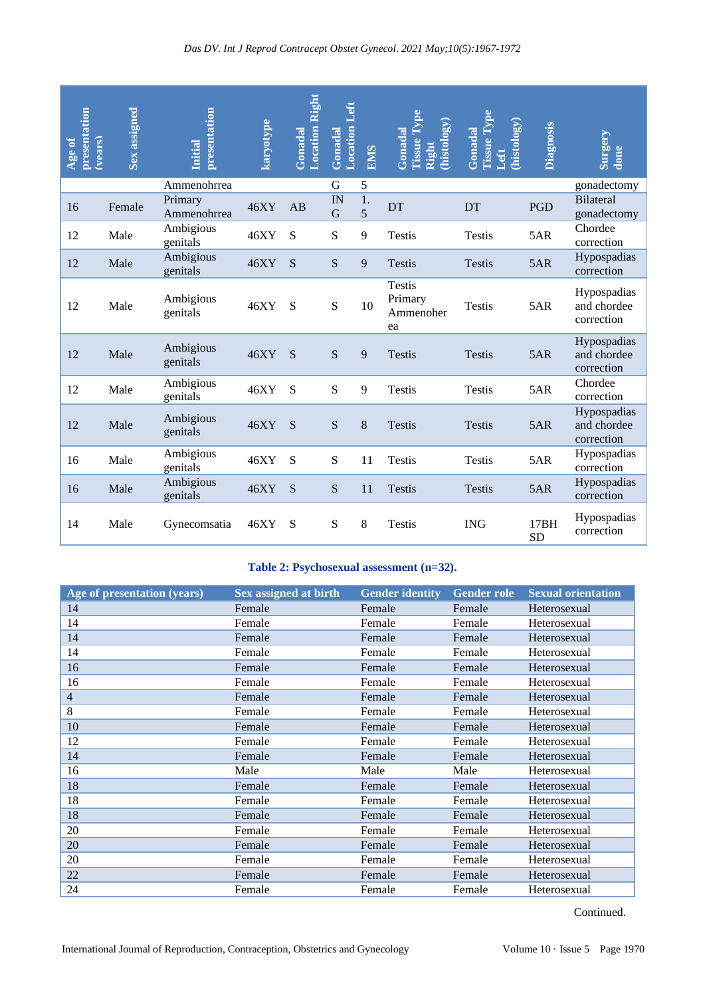| presentation<br>Age of<br>(vears)                                                                                              | Sex assigned                             | presentation<br><b>Initial</b> | karyotype                    | <b>Location Right</b><br>Gonadal | <b>Location Left</b><br>Gonadal | <b>EMS</b> | <b>Tissue Type</b><br>histology)<br>Gonadal<br>Right | <b>Cissue Type</b><br>histology)<br>Gonadal<br>Left | Diagnosis         | Surgery<br>done                          |
|--------------------------------------------------------------------------------------------------------------------------------|------------------------------------------|--------------------------------|------------------------------|----------------------------------|---------------------------------|------------|------------------------------------------------------|-----------------------------------------------------|-------------------|------------------------------------------|
|                                                                                                                                |                                          | Ammenohrrea                    |                              |                                  | G                               | 5          |                                                      |                                                     |                   | gonadectomy                              |
| 16                                                                                                                             | Female                                   | Primary<br>Ammenohrrea         | 46XY                         | AB                               | IN<br>G                         | 1.<br>5    | DT                                                   | <b>DT</b>                                           | <b>PGD</b>        | <b>Bilateral</b><br>gonadectomy          |
| 12                                                                                                                             | Male                                     | Ambigious<br>genitals          | 46XY                         | S                                | S                               | 9          | <b>Testis</b>                                        | <b>Testis</b>                                       | 5AR               | Chordee<br>correction                    |
| 12                                                                                                                             | Male                                     | Ambigious<br>genitals          | 46XY                         | S                                | S                               | 9          | <b>Testis</b>                                        | Testis                                              | 5AR               | Hypospadias<br>correction                |
| 12                                                                                                                             | Male                                     | Ambigious<br>genitals          | 46XY                         | S                                | ${\bf S}$                       | 10         | <b>Testis</b><br>Primary<br>Ammenoher<br>ea          | <b>Testis</b>                                       | 5AR               | Hypospadias<br>and chordee<br>correction |
| 12                                                                                                                             | Male                                     | Ambigious<br>genitals          | 46XY                         | S                                | ${\bf S}$                       | 9          | <b>Testis</b>                                        | <b>Testis</b>                                       | 5AR               | Hypospadias<br>and chordee<br>correction |
| 12                                                                                                                             | Male                                     | Ambigious<br>genitals          | 46XY                         | S                                | S                               | 9          | <b>Testis</b>                                        | <b>Testis</b>                                       | 5AR               | Chordee<br>correction                    |
| 12                                                                                                                             | Male                                     | Ambigious<br>genitals          | 46XY                         | S                                | ${\bf S}$                       | 8          | <b>Testis</b>                                        | <b>Testis</b>                                       | 5AR               | Hypospadias<br>and chordee<br>correction |
| 16                                                                                                                             | Male                                     | Ambigious<br>genitals          | 46XY                         | S                                | S                               | 11         | <b>Testis</b>                                        | <b>Testis</b>                                       | 5AR               | Hypospadias<br>correction                |
| 16                                                                                                                             | Male                                     | Ambigious<br>genitals          | 46XY                         | S                                | ${\bf S}$                       | 11         | <b>Testis</b>                                        | <b>Testis</b>                                       | 5AR               | Hypospadias<br>correction                |
| 14                                                                                                                             | Male                                     | Gynecomsatia                   | 46XY                         | S                                | ${\bf S}$                       | 8          | <b>Testis</b>                                        | <b>ING</b>                                          | 17BH<br><b>SD</b> | Hypospadias<br>correction                |
|                                                                                                                                | Table 2: Psychosexual assessment (n=32). |                                |                              |                                  |                                 |            |                                                      |                                                     |                   |                                          |
|                                                                                                                                | Age of presentation (years)              |                                | <b>Sex assigned at birth</b> |                                  |                                 |            | <b>Gender identity</b>                               | <b>Gender role</b>                                  |                   | <b>Sexual orientation</b>                |
| 14                                                                                                                             |                                          |                                | Female                       |                                  |                                 | Female     |                                                      | Female                                              | Heterosexual      |                                          |
| 14                                                                                                                             |                                          |                                | Female                       |                                  |                                 | Female     |                                                      | Female                                              | Heterosexual      |                                          |
| 14                                                                                                                             |                                          |                                | Female                       |                                  |                                 | Female     |                                                      | Female                                              | Heterosexual      |                                          |
| 14                                                                                                                             |                                          |                                | Female                       |                                  |                                 | Female     |                                                      | Female                                              | Heterosexual      |                                          |
| 16                                                                                                                             |                                          |                                | Female                       |                                  |                                 | Female     |                                                      | Female                                              | Heterosexual      |                                          |
| 16                                                                                                                             |                                          |                                | Female                       |                                  |                                 | Female     |                                                      | Female                                              | Heterosexual      |                                          |
| $\overline{4}$                                                                                                                 |                                          |                                | Female                       |                                  |                                 | Female     |                                                      | Female                                              | Heterosexual      |                                          |
| $\,8\,$                                                                                                                        |                                          |                                | Female                       |                                  |                                 | Female     |                                                      | Female                                              | Heterosexual      |                                          |
| 10                                                                                                                             |                                          |                                | Female                       |                                  |                                 | Female     |                                                      | Female                                              | Heterosexual      |                                          |
| 12                                                                                                                             |                                          |                                | Female                       |                                  |                                 | Female     |                                                      | Female                                              | Heterosexual      |                                          |
| 14                                                                                                                             |                                          |                                | Female                       |                                  |                                 | Female     |                                                      | Female                                              | Heterosexual      |                                          |
| 16                                                                                                                             |                                          |                                | Male                         |                                  |                                 | Male       |                                                      | Male                                                | Heterosexual      |                                          |
| 18                                                                                                                             |                                          |                                | Female                       |                                  |                                 | Female     |                                                      | Female                                              | Heterosexual      |                                          |
| 18                                                                                                                             |                                          |                                | Female                       |                                  |                                 | Female     |                                                      | Female                                              | Heterosexual      |                                          |
| 18                                                                                                                             |                                          |                                | Female                       |                                  |                                 | Female     |                                                      | Female                                              | Heterosexual      |                                          |
| 20                                                                                                                             |                                          |                                | Female                       |                                  |                                 | Female     |                                                      | Female                                              | Heterosexual      |                                          |
| 20                                                                                                                             |                                          |                                | Female                       |                                  |                                 | Female     |                                                      | Female                                              | Heterosexual      |                                          |
| 20                                                                                                                             |                                          |                                | Female                       |                                  |                                 | Female     |                                                      | Female                                              | Heterosexual      |                                          |
| 22                                                                                                                             |                                          |                                | Female                       |                                  |                                 | Female     |                                                      | Female                                              | Heterosexual      |                                          |
| 24                                                                                                                             |                                          |                                | Female                       |                                  |                                 | Female     |                                                      | Female                                              | Heterosexual      |                                          |
| Continued.<br>Volume 10 · Issue 5 Page 1970<br>International Journal of Reproduction, Contraception, Obstetrics and Gynecology |                                          |                                |                              |                                  |                                 |            |                                                      |                                                     |                   |                                          |

## **Table 2: Psychosexual assessment (n=32).**

| Age of presentation (years) | Sex assigned at birth | <b>Gender identity</b> | <b>Gender role</b> | <b>Sexual orientation</b> |
|-----------------------------|-----------------------|------------------------|--------------------|---------------------------|
| 14                          | Female                | Female                 | Female             | Heterosexual              |
| 14                          | Female                | Female                 | Female             | Heterosexual              |
| 14                          | Female                | Female                 | Female             | Heterosexual              |
| 14                          | Female                | Female                 | Female             | Heterosexual              |
| 16                          | Female                | Female                 | Female             | Heterosexual              |
| 16                          | Female                | Female                 | Female             | Heterosexual              |
| $\overline{4}$              | Female                | Female                 | Female             | Heterosexual              |
| 8                           | Female                | Female                 | Female             | Heterosexual              |
| 10                          | Female                | Female                 | Female             | Heterosexual              |
| 12                          | Female                | Female                 | Female             | Heterosexual              |
| 14                          | Female                | Female                 | Female             | Heterosexual              |
| 16                          | Male                  | Male                   | Male               | Heterosexual              |
| 18                          | Female                | Female                 | Female             | Heterosexual              |
| 18                          | Female                | Female                 | Female             | Heterosexual              |
| 18                          | Female                | Female                 | Female             | Heterosexual              |
| 20                          | Female                | Female                 | Female             | Heterosexual              |
| 20                          | Female                | Female                 | Female             | Heterosexual              |
| 20                          | Female                | Female                 | Female             | Heterosexual              |
| 22                          | Female                | Female                 | Female             | Heterosexual              |
| 24                          | Female                | Female                 | Female             | Heterosexual              |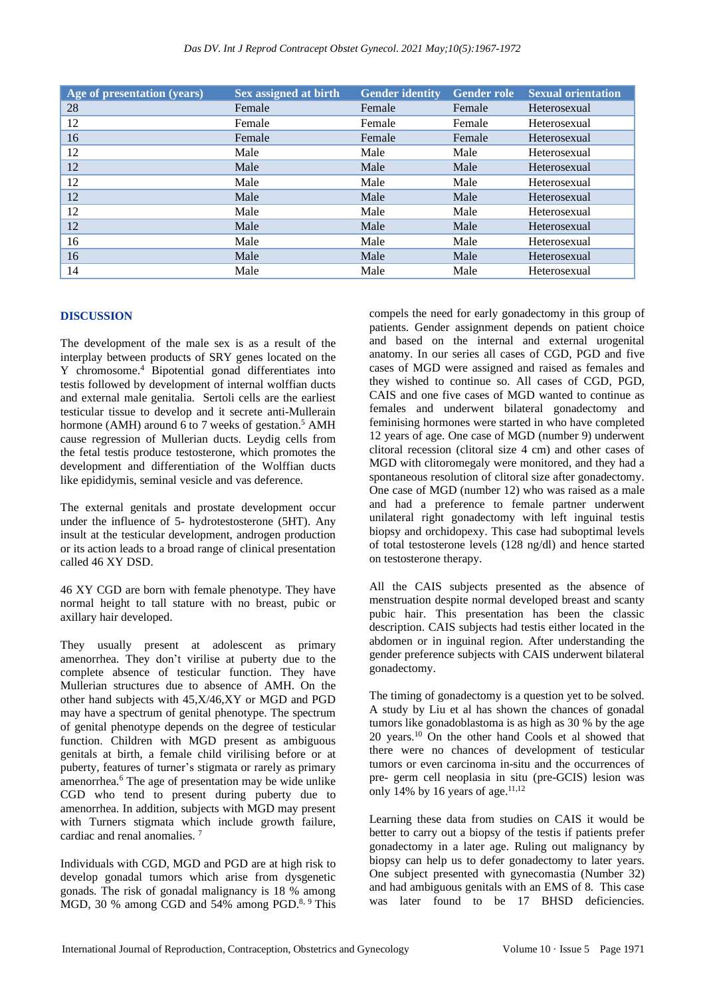| Age of presentation (years) | Sex assigned at birth | <b>Gender identity</b> | <b>Gender role</b> | <b>Sexual orientation</b> |
|-----------------------------|-----------------------|------------------------|--------------------|---------------------------|
| 28                          | Female                | Female                 | Female             | Heterosexual              |
| 12                          | Female                | Female                 | Female             | Heterosexual              |
| 16                          | Female                | Female                 | Female             | Heterosexual              |
| 12                          | Male                  | Male                   | Male               | Heterosexual              |
| 12                          | Male                  | Male                   | Male               | Heterosexual              |
| 12                          | Male                  | Male                   | Male               | Heterosexual              |
| 12                          | Male                  | Male                   | Male               | Heterosexual              |
| 12                          | Male                  | Male                   | Male               | Heterosexual              |
| 12                          | Male                  | Male                   | Male               | Heterosexual              |
| 16                          | Male                  | Male                   | Male               | Heterosexual              |
| 16                          | Male                  | Male                   | Male               | Heterosexual              |
| 14                          | Male                  | Male                   | Male               | Heterosexual              |

#### **DISCUSSION**

The development of the male sex is as a result of the interplay between products of SRY genes located on the Y chromosome.<sup>4</sup> Bipotential gonad differentiates into testis followed by development of internal wolffian ducts and external male genitalia. Sertoli cells are the earliest testicular tissue to develop and it secrete anti-Mullerain hormone (AMH) around 6 to 7 weeks of gestation.<sup>5</sup> AMH cause regression of Mullerian ducts. Leydig cells from the fetal testis produce testosterone, which promotes the development and differentiation of the Wolffian ducts like epididymis, seminal vesicle and vas deference.

The external genitals and prostate development occur under the influence of 5- hydrotestosterone (5HT). Any insult at the testicular development, androgen production or its action leads to a broad range of clinical presentation called 46 XY DSD.

46 XY CGD are born with female phenotype. They have normal height to tall stature with no breast, pubic or axillary hair developed.

They usually present at adolescent as primary amenorrhea. They don't virilise at puberty due to the complete absence of testicular function. They have Mullerian structures due to absence of AMH. On the other hand subjects with 45,X/46,XY or MGD and PGD may have a spectrum of genital phenotype. The spectrum of genital phenotype depends on the degree of testicular function. Children with MGD present as ambiguous genitals at birth, a female child virilising before or at puberty, features of turner's stigmata or rarely as primary amenorrhea.<sup>6</sup> The age of presentation may be wide unlike CGD who tend to present during puberty due to amenorrhea. In addition, subjects with MGD may present with Turners stigmata which include growth failure, cardiac and renal anomalies. <sup>7</sup>

Individuals with CGD, MGD and PGD are at high risk to develop gonadal tumors which arise from dysgenetic gonads. The risk of gonadal malignancy is 18 % among MGD, 30 % among CGD and 54% among PGD.<sup>8, 9</sup> This compels the need for early gonadectomy in this group of patients. Gender assignment depends on patient choice and based on the internal and external urogenital anatomy. In our series all cases of CGD, PGD and five cases of MGD were assigned and raised as females and they wished to continue so. All cases of CGD, PGD, CAIS and one five cases of MGD wanted to continue as females and underwent bilateral gonadectomy and feminising hormones were started in who have completed 12 years of age. One case of MGD (number 9) underwent clitoral recession (clitoral size 4 cm) and other cases of MGD with clitoromegaly were monitored, and they had a spontaneous resolution of clitoral size after gonadectomy. One case of MGD (number 12) who was raised as a male and had a preference to female partner underwent unilateral right gonadectomy with left inguinal testis biopsy and orchidopexy. This case had suboptimal levels of total testosterone levels (128 ng/dl) and hence started on testosterone therapy.

All the CAIS subjects presented as the absence of menstruation despite normal developed breast and scanty pubic hair. This presentation has been the classic description. CAIS subjects had testis either located in the abdomen or in inguinal region. After understanding the gender preference subjects with CAIS underwent bilateral gonadectomy.

The timing of gonadectomy is a question yet to be solved. A study by Liu et al has shown the chances of gonadal tumors like gonadoblastoma is as high as 30 % by the age 20 years.<sup>10</sup> On the other hand Cools et al showed that there were no chances of development of testicular tumors or even carcinoma in-situ and the occurrences of pre- germ cell neoplasia in situ (pre-GCIS) lesion was only 14% by 16 years of age. $11,12$ 

Learning these data from studies on CAIS it would be better to carry out a biopsy of the testis if patients prefer gonadectomy in a later age. Ruling out malignancy by biopsy can help us to defer gonadectomy to later years. One subject presented with gynecomastia (Number 32) and had ambiguous genitals with an EMS of 8. This case was later found to be 17 BHSD deficiencies.